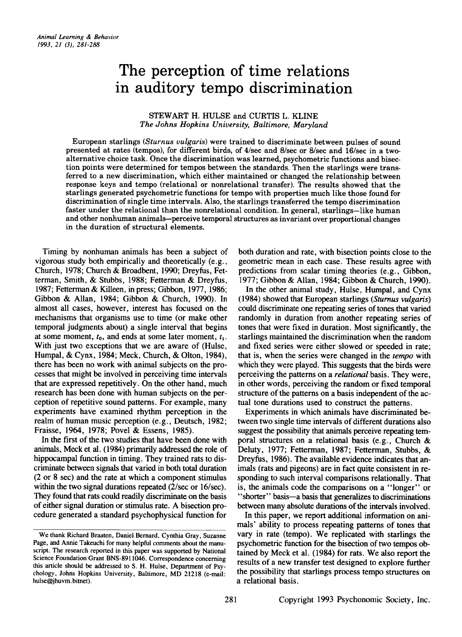# **The perception of time relations in auditory tempo discrimination**

### STEWART H. HULSE and CURTIS L. KLINE *The Johns Hopkins University, Baltimore, Maryland*

European starlings *(Sturnus vulgaris)* were trained to discriminate between pulses of sound presented at rates (tempos), for different birds, of 4/sec and 8/sec or 8/sec and 16/sec in a twoalternative choice task. Once the discrimination was learned, psychometric functions and bisection points were determined for tempos between the standards. Then the starlings were transferred to a new discrimination, which either maintained or changed the relationship between response keys and tempo (relational or nonrelational transfer). The results showed that the starlings generated psychometric functions for tempo with properties much like those found for discrimination of single time intervals. Also, the starlings transferred the tempo discrimination faster under the relational than the nonrelational condition. In general, starlings-like human and other nonhuman animals-perceive temporal structures as invariant over proportional changes in the duration of structural elements.

Timing by nonhuman animals has been a subject of vigorous study both empirically and theoretically (e.g., Church, 1978; Church & Broadbent, 1990; Dreyfus, Fetterman, Smith, & Stubbs, 1988; Fetterman & Dreyfus, 1987; Fetterman & Killeen, in press; Gibbon, 1977, 1986; Gibbon & Allan, 1984; Gibbon & Church, 1990). In almost all cases, however, interest has focused on the mechanisms that organisms use to time (or make other temporal judgments about) a single interval that begins at some moment,  $t_0$ , and ends at some later moment,  $t_1$ . With just two exceptions that we are aware of (Hulse, Humpal, & Cynx, 1984; Meek, Church, & Olton, 1984), there has been no work with animal subjects on the processes that might be involved in perceiving time intervals that are expressed repetitively. On the other hand, much research has been done with human subjects on the perception of repetitive sound patterns. For example, many experiments have examined rhythm perception in the realm of human music perception (e.g., Deutsch, 1982; Fraisse, 1964, 1978; Povel & Essens, 1985).

In the first of the two studies that have been done with animals, Meek et al. (1984) primarily addressed the role of hippocampal function in timing. They trained rats to discriminate between signals that varied in both. total duration (2 or 8 sec) and the rate at which a component stimulus within the two signal durations repeated (2/sec or 16/sec). They found that rats could readily discriminate on the basis of either signal duration or stimulus rate. A bisection procedure generated a standard psychophysical function for

both duration and rate, with bisection points close to the geometric mean in each case. These results agree with predictions from scalar timing theories (e.g., Gibbon, 1977; Gibbon & Allan, 1984; Gibbon & Church, 1990).

In the other animal study, Hulse, Humpal, and Cynx (1984) showed that European starlings *tStumus vulgaris)* could discriminate one repeating series of tones that varied randomly in duration from another repeating series of tones that were fixed in duration. Most significantly, the starlings maintained the discrimination when the random and fixed series were either slowed or speeded in rate; that is, when the series were changed in the *tempo* with which they were played. This suggests that the birds were perceiving the patterns on a *relational* basis. They were, in other words, perceiving the random or fixed temporal structure of the patterns on a basis independent of the actual tone durations used to construct the patterns.

Experiments in which animals have discriminated between two single time intervals of different durations also suggest the possibility that animals perceive repeating temporal structures on a relational basis (e.g., Church & Deluty, 1977; Fetterman, 1987; Fetterman, Stubbs, & Dreyfus, 1986). The available evidence indicates that animals (rats and pigeons) are in fact quite consistent in responding to such interval comparisons relationally. That is, the animals code the comparisons on a "longer" or •'shorter" basis-a basis that generalizes to discriminations between many absolute durations of the intervals involved.

In this paper, we report additional information on animals' ability to process repeating patterns of tones that vary in rate (tempo). We replicated with starlings the psychometric function for the bisection of two tempos obtained by Meck et al. (1984) for rats. We also report the results of a new transfer test designed to explore further the possibility that starlings process tempo structures on a relational basis.

We thank Richard Braaten, Daniel Bernard, Cynthia Gray, Suzanne Page, and Annie Takeuchi for many helpful comments about the manuscript. The research reported in this paper was supported by National Science Foundation Grant BNS-8911046. Correspondence concerning this article should be addressed to S. H. Hulse, Department of Psychology, Johns Hopkins University, Baltimore, MD 21218 (e-mail: hulse@jhuvm.bitnet).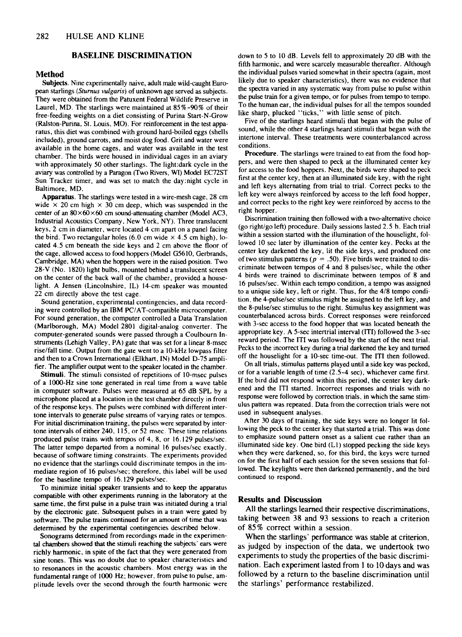## BASELINE DISCRIMINATION

#### Method

Subjects. Nine experimentally naive, adult male wild-caught European starlings *(Sturnus vulgaris)*of unknown age served as subjects. They were obtained from the Patuxent Federal Wildlife Preserve in Laurel, MD. The starlings were maintained at 85%-90% of their free-feeding weights on a diet consisting of Purina Start-N-Grow (Ralston-Purina, St. Louis, MO). For reinforcement in the test apparatus, this diet was combined with ground hard-boiled eggs (shells included), ground carrots, and moist dog food. Grit and water were available in the home cages, and water was available in the test chamber. The birds were housed in individual cages in an aviary with approximately 50 other starlings. The light:dark cycle in the aviary was controlled by a Paragon (Two Rivers, WI) Model EC72ST Sun Tracker timer, and was set to match the day:night cycle in Baltimore, MD.

Apparatus. The starlings were tested in a wire-mesh cage, 28 em wide  $\times$  20 cm high  $\times$  30 cm deep, which was suspended in the center of an  $80\times60\times60$  cm sound-attenuating chamber (Model AC3, Industrial Acoustics Company, New York, NY). Three translucent keys, 2 cm in diameter, were located 4 cm apart on a panel facing the bird. Two rectangular holes (6.0 cm wide  $\times$  4.5 cm high), located 4.5 em beneath the side keys and 2 em above the floor of the cage, allowed access to food hoppers (Model G561O, Gerbrands, Cambridge, MA) when the hoppers were in the raised position. Two 28-V (No. 1820) light bulbs, mounted behind a translucent screen on the center of the back wall of the chamber, provided a houselight. A Jensen (Lincolnshire, IL) 14-cm speaker was mounted 22 em directly above the test cage.

Sound generation, experimental contingencies, and data recording were controlled by an IBM PC/AT-compatible microcomputer. For sound generation, the computer controlled a Data Translation (Marlborough, MA) Model 2801 digital-analog converter. The computer-generated sounds were passed through a Coulbourn Instruments (Lehigh Valley, PA) gate that was set for a linear 8-msec rise/fall time. Output from the gate went to a 10-kHz lowpass filter and then to a Crown International (Elkhart, IN) Model D-75 amplifier. The amplifier output went to the speaker located in the chamber.

Stimuli. The stimuli consisted of repetitions of IO-msec pulses of a IOOO-Hz sine tone generated in real time from a wave table in computer software. Pulses were measured at 65 dB SPL by a microphone placed at a location in the test chamber directly in front of the response keys. The pulses were combined with different intertone intervals to generate pulse streams of varying rates or tempos. For initial discrimination training, the pulses were separated by intertone intervals of either 240, 115, or 52 msec. These time relations produced pulse trains with tempos of 4. 8. or 16.129 pulses/sec. The latter tempo departed from a nominal 16 pulses/sec exactly. because of software timing constraints. The experiments provided no evidence that the starlings could discriminate tempos in the immediate region of 16 pulses/sec: therefore. this label will be used for the baseline tempo of 16.129 pulses/sec.

To minimize initial speaker transients and to keep the apparatus compatible with other experiments running in the laboratory at the same time, the first pulse in a pulse train was initiated during a trial by the electronic gate. Subsequent pulses in a train were gated by software. The pulse trains continued for an amount of time that was determined by the experimental contingencies described below.

Sonograms determined from recordings made in the experimental chambers showed that the stimuli reaching the subjects' ears were richly harmonic, in spite of the fact that they were generated from sine tones. This was no doubt due to speaker characteristics and to resonances in the acoustic chambers. Most energy was in the fundamental range of 1000 Hz: however. from pulse to pulse. amplitude levels over the second through the fourth harmonic were down to 5 to 10 dB. Levels fell to approximately 20 dB with the fifth harmonic, and were scarcely measurable thereafter. Although the individual pulses varied somewhat in their spectra (again. most likely due to speaker characteristics). there was no evidence that the spectra varied in any systematic way from pulse to pulse within the pulse train for a given tempo, or for pulses from tempo to tempo. To the human ear, the individual pulses for all the tempos sounded like sharp, plucked "ticks," with little sense of pitch.

Five of the starlings heard stimuli that began with the pulse of sound, while the other 4 starlings heard stimuli that began with the intertone interval. These treatments were counterbalanced across conditions.

Procedure. The starlings were trained to eat from the food hoppers, and were then shaped to peck at the illuminated center key for access to the food hoppers. Next, the birds were shaped to peck first at the center key, then at an illuminated side key, with the right and left keys alternating from trial to trial. Correct pecks to the left key were always reinforced by access to the left food hopper, and correct pecks to the right key were reinforced by access to the right hopper.

Discrimination training then followed with a two-alternative choice (go right/go left) procedure. Daily sessions lasted 2.5 h. Each trial within a session started with the illumination of the houselight, followed 10 sec later by illumination of the center key. Pecks at the center key darkened the key, lit the side keys, and produced one of two stimulus patterns  $(p = .50)$ . Five birds were trained to discriminate between tempos of 4 and 8 pulses/sec, while the other 4 birds were trained to discriminate between tempos of 8 and 16 pulses/sec. Within each tempo condition, a tempo was assigned to a unique side key, left or right. Thus, for the 4/8 tempo condition, the 4-pulse/sec stimulus might be assigned to the left key, and the 8-pulse/sec stimulus to the right. Stimulus key assignment was counterbalanced across birds. Correct responses were reinforced with 3-sec access to the food hopper that was located beneath the appropriate key. A 5-sec intertrial interval (ITI) followed the 3-sec reward period. The ITI was followed by the start of the next trial. Pecks to the incorrect key during a trial darkened the key and turned off the houselight for a lO-sec time-out. The ITI then followed.

On all trials, stimulus patterns played until a side key was pecked. or for a variable length of time (2.5-4 sec), whichever came first. If the bird did not respond within this period, the center key darkened and the ITI started. Incorrect responses and trials with no response were followed by correction trials. in which the same stimulus pattern was repeated. Data from the correction trials were not used in subsequent analyses.

After 30 days of training, the side keys were no longer lit following the peck to the center key that started a trial. This was done to emphasize sound pattern onset as a salient cue rather than an illuminated side key. One bird (L1) stopped pecking the side keys when they were darkened, so. for this bird, the keys were turned on for the first half of each session for the seven sessions that followed. The keylights were then darkened permanently, and the bird continued to respond.

#### Results **and** Discussion

All the starlings learned their respective discriminations, taking between 38 and 93 sessions to reach a criterion of 85 % correct within a session.

When the starlings' performance was stable at criterion, as judged by inspection of the data, we undertook two experiments to study the properties of the basic discrimination. Each experiment lasted from I to 10 days and was followed by a return to the baseline discrimination until the starlings' performance restabilized.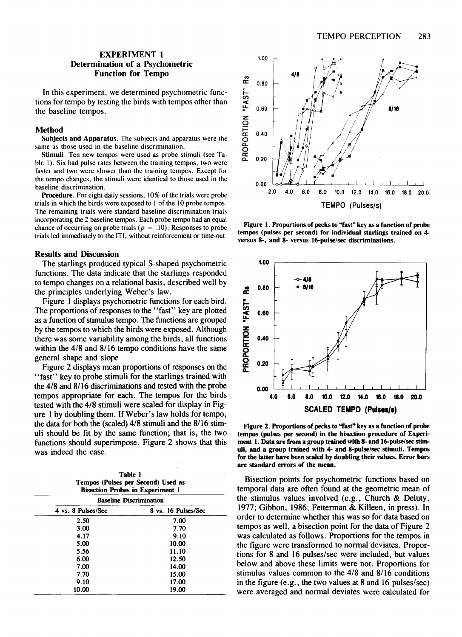# EXPERIMENT 1 Determination of a Psychometric Function for Tempo

In this experiment, we determined psychometric functions for tempo by testing the birds with tempos other than the baseline tempos.

#### Method

Subjects and Apparatus. The subjects and apparatus were the same as those used in the baseline discrimination.

Stimuli. Ten new tempos were used as probe stimuli (see Table I). Six had pulse rates between the training tempos; two were faster and two were slower than the training tempos. Except for the tempo changes, the stimuli were identical to those used in the baseline discrimination.

Procedure. For eight daily sessions, 10% of the trials were probe trials in which the birds were exposed to I of the 10 probe tempos. The remaining trials were standard baseline discrimination trials incorporating the 2 baseline tempos. Each probe tempo had an equal chance of occurring on probe trials  $(p = .10)$ . Responses to probe trials led immediately to the ITI, without reinforcement or time-out.

## Results and Discussion

The starlings produced typical S-shaped psychometric functions. The data indicate that the starlings responded to tempo changes on a relational basis, described well by the principles underlying Weber's law.

Figure 1 displays psychometric functions for each bird. The proportions of responses to the "fast" key are plotted as a function of stimulus tempo. The functions are grouped by the tempos to which the birds were exposed. Although there was some variability among the birds, all functions within the  $4/8$  and  $8/16$  tempo conditions have the same general shape and slope.

Figure 2 displays mean proportions of responses on the "fast" key to probe stimuli for the starlings trained with the 4/8 and 8/16 discriminations and tested with the probe tempos appropriate for each. The tempos for the birds tested with the 4/8 stimuli were scaled for display in Figure 1 by doubling them. IfWeber's law holds for tempo, the data for both the (scaled) 4/8 stimuli and the 8/16 stimuli should be fit by the same function; that is, the two functions should superimpose. Figure 2 shows that this was indeed the case.

| <b>Table 1</b>                          |
|-----------------------------------------|
| Tempos (Pulses per Second) Used as      |
| <b>Bisection Probes in Experiment 1</b> |

| <b>Baseline Discrimination</b> |                     |
|--------------------------------|---------------------|
| 4 vs. 8 Pulses/Sec             | 8 vs. 16 Pulses/Sec |
| 2.50                           | 7.00                |
| 3.00                           | 7.70                |
| 4.17                           | 9.10                |
| 5.00                           | 10.00               |
| 5.56                           | 11.10               |
| 6.00                           | 12.50               |
| 7.00                           | 14.00               |
| 7.70                           | 15.00               |
| 9.10                           | 17.00               |
| 10.00                          | 19.00               |



Figure I. Proportions of pecks to "fast" key as a function of probe tempos (pulses per second) for individual starlings trained on 4 versus 8-, and 8- versus 16-pulse/sec discriminations.



Figure 2. Proportions of pecks to "fast" key as a function of probe tempos (pulses per second) in the bisection procedure of Experiment 1. Data are from a group trained with 8- and 16-pulse/sec stimuli, and a group trained with 4- and 8-pulse/sec stimuli. Tempos for the latter have been scaled by doubling their values. Error bars are standard errors of the mean.

Bisection points for psychometric functions based on temporal data are often found at the geometric mean of the stimulus values involved (e.g., Church & Deluty, 1977; Gibbon, 1986; Fetterman & Killeen, in press). In order to determine whether this was so for data based on tempos as well, a bisection point for the data of Figure 2 was calculated as follows. Proportions for the tempos in the figure were transformed to normal deviates. Proportions for 8 and 16 pulses/sec were included, but values below and above these limits were not. Proportions for stimulus values common to the 4/8 and 8/16 conditions in the figure (e.g., the two values at 8 and 16 pulses/sec) were averaged and normal deviates were calculated for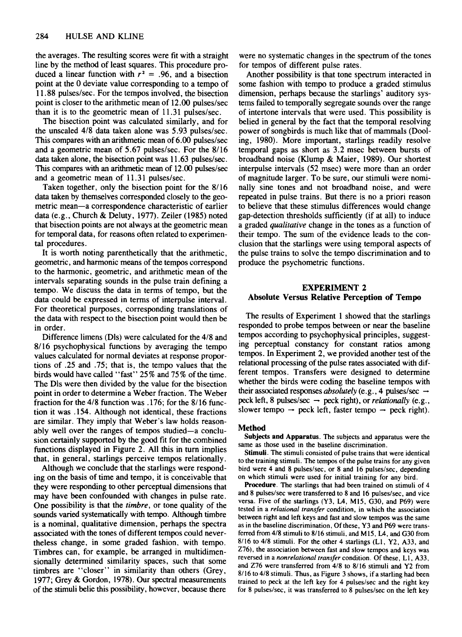the averages. The resulting scores were fit with a straight line by the method of least squares. This procedure produced a linear function with  $r^2 = .96$ , and a bisection point at the 0 deviate value corresponding to a tempo of 11.88 pulses/sec. For the tempos involved, the bisection point is closer to the arithmetic mean of 12.00 pulses/sec than it is to the geometric mean of 11.31 pulses/sec.

The bisection point was calculated similarly, and for the unsealed 4/8 data taken alone was 5.93 pulses/sec. This compares with an arithmetic mean of 6.00 pulses/sec and a geometric mean of 5.67 pulses/sec. For the 8/16 data taken alone, the bisection point was 11.63 pulses/sec. This compares with an arithmetic mean of 12.00 pulses/sec and a geometric mean of 11.31 pulses/sec.

Taken together, only the bisection point for the 8/16 data taken by themselves corresponded closely to the geometric mean-a correspondence characteristic of earlier data (e.g., Church & Deluty, 1977). Zeiler (1985) noted that bisection points are not always at the geometric mean for temporal data, for reasons often related to experimental procedures.

It is worth noting parenthetically that the arithmetic, geometric, and harmonic means of the tempos correspond to the harmonic, geometric, and arithmetic mean of the intervals separating sounds in the pulse train defining a tempo. We discuss the data in terms of tempo, but the data could be expressed in terms of interpulse interval. For theoretical purposes, corresponding translations of the data with respect to the bisection point would then be in order.

Difference limens (DIs) were calculated for the 4/8 and 8/16 psychophysical functions by averaging the tempo values calculated for normal deviates at response proportions of .25 and. 75; that is, the tempo values that the birds would have called "fast" 25% and 75% of the time. The DIs were then divided by the value for the bisection point in order to determine a Weber fraction. The Weber fraction for the 4/8 function was .176; for the 8/16 function it was .154. Although not identical, these fractions are similar. They imply that Weber's law holds reasonably well over the ranges of tempos studied-a conclusion certainly supported by the good fit for the combined functions displayed in Figure 2. All this in tum implies that, in general, starlings perceive tempos relationally.

Although we conclude that the starlings were responding on the basis of time and tempo, it is conceivable that they were responding to other perceptual dimensions that may have been confounded with changes in pulse rate. One possibility is that the *timbre,* or tone quality of the sounds varied systematically with tempo. Although timbre is a nominal, qualitative dimension, perhaps the spectra associated with the tones of different tempos could nevertheless change, in some graded fashion, with tempo. Timbres can, for example, be arranged in multidimensionally determined similarity spaces, such that some timbres are "closer" in similarity than others (Grey, 1977; Grey & Gordon, 1978). Our spectral measurements of the stimuli belie this possibility, however, because there

were no systematic changes in the spectrum of the tones for tempos of different pulse rates.

Another possibility is that tone spectrum interacted in some fashion with tempo to produce a graded stimulus dimension, perhaps because the starlings' auditory systems failed to temporally segregate sounds over the range of intertone intervals that were used. This possibility is belied in general by the fact that the temporal resolving power of songbirds is much like that of mammals (Dooling, 1980). More important, starlings readily resolve temporal gaps as short as 3.2 msec between bursts of broadband noise (Klump & Maier, 1989). Our shortest interpulse intervals (52 msec) were more than an order of magnitude larger. To be sure, our stimuli were nominally sine tones and not broadband noise, and were repeated in pulse trains. But there is no a priori reason to believe that these stimulus differences would change gap-detection thresholds sufficiently (if at all) to induce a graded *qualitative* change in the tones as a function of their tempo. The sum of the evidence leads to the conclusion that the starlings were using temporal aspects of the pulse trains to solve the tempo discrimination and to produce the psychometric functions. .

# EXPERIMENT 2 Absolute Versus Relative Perception of Tempo

The results of Experiment 1 showed that the starlings responded to probe tempos between or near the baseline tempos according to psychophysical principles, suggesting perceptual constancy for constant ratios among tempos. In Experiment 2, we provided another test of the relational processing of the pulse rates associated with different tempos. Transfers were designed to determine whether the birds were coding the baseline tempos with their associated responses *absolutely* (e.g., 4 pulses/sec  $\rightarrow$ peck left, 8 pulses/sec  $\rightarrow$  peck right), or *relationally* (e.g., slower tempo  $\rightarrow$  peck left, faster tempo  $\rightarrow$  peck right).

## Method

Subjects and Apparatus. The subjects and apparatus were the same as those used in the baseline discrimination.

Stimuli. The stimuli consisted of pulse trains that were identical to the training stimuli. The tempos of the pulse trains for any given bird were 4 and 8 pulses/sec, or 8 and 16 pulses/sec, depending on which stimuli were used for initial training for any bird.

Procedure. The starlings that had been trained on stimuli of 4 and 8 pulses/sec were transferred to 8 and 16 pulses/sec, and vice versa. Five of the starlings (Y3, lA, M15, G30, and P69) were tested in a *relational transfer* condition, in which the association between right and left keys and fast and slow tempos was the same as in the baseline discrimination, Of these, Y3 and P69 were transferred from 4/8 stimuli to 8/16 stimuli, and MI5, lA, and G30 from  $8/16$  to 4/8 stimuli. For the other 4 starlings (L1, Y2, A33, and Z76), the association between fast and slow tempos and keys was reversed in a *nonrelational transfer* condition. Of these, L1, A33, and Z76 were transferred from 4/8 to 8/16 stimuli and Y2 from  $8/16$  to  $4/8$  stimuli. Thus, as Figure 3 shows, if a starling had been trained to peck at the left key for 4 pulses/sec and the right key for 8 pulses/sec, it was transferred to 8 pulses/sec on the left key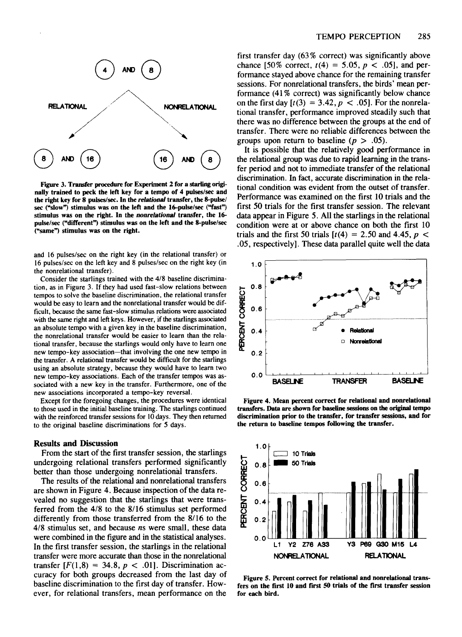

Figure 3. Transfer procedure for Experiment 2 for a starling originally trained to peck the left key for a tempo of 4 pulses/sec and the right key for 8 pulses/sec. In the *relational*transfer, the 8-pulse/ sec ("slow") stimulus was on the left and the 16-pulse/sec ("fast") stimulus was on the right. In the *nonrelationaJ* transfer, the 16 pulse/sec ("different") stimulus was on the left and the 8-pulse/sec ("same") stimulus was on the right.

and 16 pulses/sec on the right key (in the relational transfer) or 16 pulses/sec on the left key and 8 pulses/sec on the right key (in the nonrelational transfer).

Consider the starlings trained with the 4/8 baseline discrimination, as in Figure 3. If they had used fast-slow relations between tempos to solve the baseline discrimination, the relational transfer would be easy to learn and the nonrelational transfer would be difficult, because the same fast-slow stimulus relations were associated with the same right and left keys. However, if the starlings associated an absolute tempo with a given key in the baseline discrimination, the nonrelational transfer would be easier to learn than the relational transfer, because the starlings would only have to learn one new tempo-key association-that involving the one new tempo in the transfer. A relational transfer would be difficult for the starlings using an absolute strategy, because they would have to learn two new tempo-key associations. Each of the transfer tempos was associated with a new key in the transfer. Furthermore, one of the new associations incorporated a tempo-key reversal.

Except for the foregoing changes, the procedures were identical to those used in the initial baseline training. The starlings continued with the reinforced transfer sessions for 10 days. They then returned to the original baseline discriminations for 5 days.

# Results and Discussion

From the start of the first transfer session, the starlings undergoing relational transfers performed significantly better than those undergoing nonrelational transfers.

The results of the relational and nonrelational transfers are shown in Figure 4. Because inspection of the data revealed no suggestion that the starlings that were transferred from the 4/8 to the 8/16 stimulus set performed differently from those transferred from the 8/16 to the 4/8 stimulus set, and because ns were small, these data were combined in the figure and in the statistical analyses. In the first transfer session, the starlings in the relational transfer were more accurate than those in the nonrelational transfer  $[F(1,8) = 34.8, p < .01]$ . Discrimination accuracy for both groups decreased from the last day of baseline discrimination to the first day of transfer. However, for relational transfers, mean performance on the

first transfer day (63% correct) was significantly above chance  $150\%$  correct,  $t(4) = 5.05$ ,  $p < .05$ , and performance stayed above chance for the remaining transfer sessions. For nonrelational transfers, the birds' mean performance (41% correct) was significantly below chance on the first day  $[t(3) = 3.42, p < .05]$ . For the nonrelational transfer, performance improved steadily such that there was no difference between the groups at the end of transfer. There were no reliable differences between the groups upon return to baseline  $(p > .05)$ .

It is possible that the relatively good performance in the relational group was due to rapid learning in the transfer period and not to immediate transfer of the relational discrimination. In fact, accurate discrimination in the relational condition was evident from the outset of transfer. Performance was examined on the first 10 trials and the first 50 trials for the first transfer session. The relevant data appear in Figure 5. All the starlings in the relational condition were at or above chance on both the first 10 trials and the first 50 trials  $[t(4) = 2.50$  and 4.45,  $p <$ .05, respectively]. These data parallel quite well the data



Figure 4. Mean percent correct for relational and nonrelational transfers. Data are shown for baseline sessions on the original tempo discrimination prior to the transfer, for transfer sessions, and for the return to baseline tempos following the transfer.



Figure 5. Percent correct for relational and nonrelational transfers on the first 10 and first 50 trials of the first transfer session for each bird.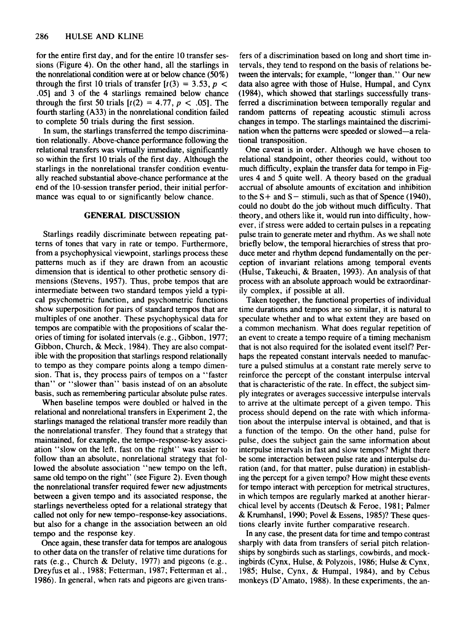for the entire first day, and for the entire 10 transfer sessions (Figure 4). On the other hand, all the starlings in the nonrelational condition were at or below chance (50%) through the first 10 trials of transfer  $[t(3) = 3.53, p <$ .05] and 3 of the 4 starlings remained below chance through the first 50 trials  $[t(2) = 4.77, p < .05]$ . The fourth starling (A33) in the nonrelational condition failed to complete 50 trials during the first session.

In sum, the starlings transferred the tempo discrimination relationally. Above-ehance performance following the relational transfers was virtually immediate, significantly so within the first 10 trials of the first day. Although the starlings in the nonrelational transfer condition eventually reached substantial above-chance performance at the end of the 10-session transfer period, their initial performance was equal to or significantly below chance.

# GENERAL DISCUSSION

Starlings readily discriminate between repeating patterns of tones that vary in rate or tempo. Furthermore, from a psychophysical viewpoint, starlings process these patterns much as if they are drawn from an acoustic dimension that is identical to other prothetic sensory dimensions (Stevens, 1957). Thus, probe tempos that are intermediate between two standard tempos yield a typical psychometric function, and psychometric functions show superposition for pairs of standard tempos that are multiples of one another. These psychophysical data for tempos are compatible with the propositions of scalar theories of timing for isolated intervals (e.g., Gibbon, 1977; Gibbon, Church, & Meek, 1984). They are also compatible with the proposition that starlings respond relationally to tempo as they compare points along a tempo dimension. That is, they process pairs of tempos on a "faster than" or "slower than" basis instead of on an absolute basis, such as remembering particular absolute pulse rates.

When baseline tempos were doubled or halved in the relational and nonrelational transfers in Experiment 2, the starlings managed the relational transfer more readily than the nonrelational transfer. They found that a strategy that maintained, for example, the tempo-response-key association "slow on the left, fast on the right" was easier to follow than an absolute, nonrelational strategy that followed the absolute association "new tempo on the left, same old tempo on the right" (see Figure 2). Even though the nonrelational transfer required fewer new adjustments between a given tempo and its associated response, the starlings nevertheless opted for a relational strategy that called not only for new tempo-response-key associations, but also for a change in the association between an old tempo and the response key.

Once again, these transfer data for tempos are analogous to other data on the transfer of relative time durations for rats (e.g., Church & Deluty, 1977) and pigeons (e.g., Dreyfus et al., 1988; Fetterman, 1987; Fetterman et al., 1986). In general, when rats and pigeons are given trans-

fers of a discrimination based on long and short time intervals, they tend to respond on the basis of relations between the intervals; for example, "longer than. " Our new data also agree with those of Hulse, Humpal, and Cynx (1984), which showed that starlings successfully transferred a discrimination between temporally regular and random patterns of repeating acoustic stimuli across changes in tempo. The starlings maintained the discrimination when the patterns were speeded or slowed-a relational transposition.

One caveat is in order. Although we have chosen to relational standpoint, other theories could, without too much difficulty, explain the transfer data for tempo in Figures 4 and 5 quite well. A theory based on the gradual accrual of absolute amounts of excitation and inhibition to the  $S+$  and  $S-$  stimuli, such as that of Spence (1940), could no doubt do the job without much difficulty. That theory, and others like it, would run into difficulty, however, if stress were added to certain pulses in a repeating pulse train to generate meter and rhythm. As we shall note briefly below, the temporal hierarchies of stress that produce meter and rhythm depend fundamentally on the perception of invariant relations among temporal events (Hulse, Takeuchi, & Braaten, 1993). An analysis of that process with an absolute approach would be extraordinarily complex, if possible at all.

Taken together, the functional properties of individual time durations and tempos are so similar, it is natural to speculate whether and to what extent they are based on a common mechanism. What does regular repetition of an event to create a tempo require of a timing mechanism that is not also required for the isolated event itself? Perhaps the repeated constant intervals needed to manufacture a pulsed stimulus at a constant rate merely serve to reinforce the percept of the constant interpulse interval that is characteristic of the rate. In effect, the subject simply integrates or averages successive interpulse intervals to arrive at the ultimate percept of a given tempo. This process should depend on the rate with which information about the interpulse interval is obtained, and that is a function of the tempo. On the other hand, pulse for pulse, does the subject gain the same information about interpulse intervals in fast and slow tempos? Might there be some interaction between pulse rate and interpulse duration (and, for that matter, pulse duration) in establishing the percept for a given tempo? How might these events for tempo interact with perception for metrical structures, in which tempos are regularly marked at another hierarchical level by accents (Deutsch & Feroe, 1981; Palmer & Krumhansl, 1990; Povel & Essens, 1985)? These questions clearly invite further comparative research.

In any case, the present data for time and tempo contrast sharply with data from transfers of serial pitch relationships by songbirds such as starlings, cowbirds, and mockingbirds (Cynx, Hulse, & Polyzois, 1986; Hulse & Cynx, 1985; Hulse, Cynx, & Humpal, 1984), and by Cebus monkeys (D'Amato, 1988). In these experiments, the an-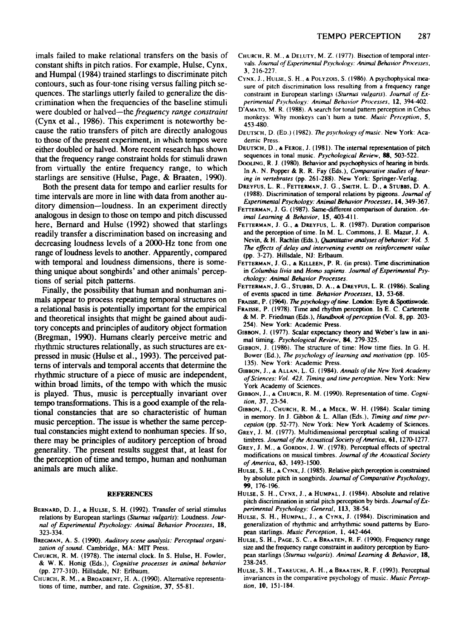imals failed to make relational transfers on the basis of constant shifts in pitch ratios. For example, Hulse, Cynx, and Humpal (1984) trained starlings to discriminate pitch contours, such as four-tone rising versus falling pitch sequences. The starlings utterly failed to generalize the discrimination when the frequencies of the baseline stimuli were doubled or halved-the *frequency range constraint* (Cynx et aI., 1986). This experiment is noteworthy because the ratio transfers of pitch are directly analogous to those of the present experiment, in which tempos were either doubled or halved. More recent research has shown that the frequency range constraint holds for stimuli drawn from virtually the entire frequency range, to which starlings are sensitive (Hulse, Page, & Braaten, 1990).

Both the present data for tempo and earlier results for time intervals are more in line with data from another auditory dimension-loudness. In an experiment directly analogous in design to those on tempo and pitch discussed here, Bernard and Hulse (1992) showed that starlings readily transfer a discrimination based on increasing and decreasing loudness levels of a 2000-Hz tone from one range of loudness levels to another. Apparently, compared with temporal and loudness dimensions, there is something unique about songbirds' and other animals' perceptions of serial pitch patterns.

Finally, the possibility that human and nonhuman animals appear to process repeating temporal structures on a relational basis is potentially important for the empirical and theoretical insights that might be gained about auditory concepts and principles of auditory object formation (Bregman, 1990). Humans clearly perceive metric and rhythmic structures relationally, as such structures are expressed in music (Hulse et aI., 1993). The perceived patterns of intervals and temporal accents that determine the rhythmic structure of a piece of music are independent, within broad limits, of the tempo with which the music is played. Thus, music is perceptually invariant over tempo transformations. This is a good example of the relational constancies that are so characteristic of human music perception. The issue is whether the same perceptual constancies might extend to nonhuman species. If so, there may be principles of auditory perception of broad generality. The present results suggest that, at least for the perception of time and tempo, human and nonhuman animals are much alike.

#### **REFERENCES**

- BERNARD, D. J., & HULSE, S. H. (1992). Transfer of serial stimulus relations by European starlings *(Sturnus vulgaris)*: Loudness. *Journal of Experimental Psychology: Animal Behavior Processes, 18,* 323-334.
- BREGMAN, A. S. (1990). *Auditory scene analysis: Perceptual organi*zation of sound. Cambridge, MA: MIT Press.
- CHURCH, R. M. (1978). The internal clock. In S. Hulse, H. Fowler, & W. K. Honig (Eds.) , *Cognitive processes in animal behavior* (pp. 277-310). Hillsdale, NJ: Erlbaum.
- CHURCH, R. M., & BROADBENT, H. A. (1990). Alternative representations of time, number, and rate. *Cognition,* 37, 55-81.
- CHURCH, R. M., & DELUTY, M. Z. (1977). Bisection of temporal intervals. *Journal ofExperimental Psvchology: Animal Behavior Processes,* 3, 216-227.
- CYNX, J., HULSE, S. H., & POLYZOIS, S. (1986). A psychophysical measure of pitch discrimination loss resulting from a frequency range constraint in European starlings *(Sturnus vulgaris). Journal of Experimental Psychology: Animal Behavior Processes,* 12, 394-402.
- D'AMATO, M. R. (1988). A search for tonal pattern perception in Cebus monkeys: Why monkeys can't hum a tune. *Music Perception*, 5, 453-480.
- DEUTSCH, D. (ED.)(1982). The *psychology ofmusic.* New York: Academic Press.
- DEUTSCH, D., & FEROE, J. (1981). The internal representation of pitch sequences in tonal music. *Psychological Review,* 88, 503-522.
- DOOLING, R. J. (1980). Behavior and psychophysics of hearing in birds. In A. N. Popper & R. R. Fay (Eds.), *Comparative studies of hearing in vertebrates*(pp. 261-288). New York: Springer-Verlag.
- DREYFUS, L. R., FETTERMAN, J. G., SMITH, L. D., & STUBBS, D. A. (1988). Discrimination of temporal relations by pigeons. *Journal of Experimental Psychology: Animal Behavior Processes,* 14,349-367.
- FETTERMAN, J. G. (1987). Same-different comparison of duration. *Animal Learning* &: *Behavior, IS, 403-411.*
- FETTERMAN, J. G., & DREYFUS, L. R. (1987). Duration comparison and the perception of time. In M. L. Commons, J. E. Mazur, J. A. Nevin, & H. Rachlin(Eds.), *Quantitative analyses ofbehavior: Vol. 5.* The *effects of delay and intervening events on reinforcement value* (pp. 3-27). Hillsdale, NJ: Erlbaum.
- FETTERMAN, J. G., & KILLEEN, P. R. (in press). Time discrimination in *Columbia Livia* and *Homo sapiens. Journal of Experimental Psychology: Animal Behavior Processes.*
- FETTERMAN, J. G., STUBBS, D. A., & DREYFUS, L. R. (1986). Scaling of events spaced in time. *Behavior Processes,* 13, 53-68.
- FRAISSE, P. (1964). The psychology of time. London: Eyre & Spottiswode.
- FRAISSE, P. (1978). Time and rhythm perception. In E. C. Carterette & M. P. Friedman (Eds.), *Handbook. ofperception* (Vol. 8, pp. 203- 254). New York: Academic Press.
- GIBBON, J. (1977). Scalar expectancy theory and Weber's law in animal timing. *Psychological Review,* 84, 279-325.
- GIBBON, J. (1986). The structure of time: How time flies. In G. H. Bower (Ed.), The psychology of learning and motivation (pp. 105-135). New York: Academic Press.
- GIBBON, J., & ALLAN, L. G. (1984). *Annals of the New York Academy ofSciences: Vol.* 423. *TIming and time perception.* New York: New York Academy of Sciences.
- GIBBON, J., & CHURCH, R. M. (1990). Representation of time. *Cognition,* 37, 23-54.
- GIBBON, J., CHURCH, R. M., & MECK, W. H. (1984). Scalar timing in memory. In J. Gibbon & L. Allan (Eds.), *TIming and time perception* (pp. 52-77). New York: New York Academy of Sciences.
- GREY, J. M. (1977). Multidimensional perceptual scaling of musical timbres. Journal of the Acoustical Society of America, 61, 1270-1277.
- GREY, J. M., & GORDON, J. W. (1978). Perceptual effects of spectral modifications on musical timbres. Journal of the Acoustical Society *of America,* 63, 1493-1500.
- HULSE, S. H., & CYNX, J. (1985). Relative pitch perception is constrained by absolute pitch in songbirds. *Journal ofComparative Psychology,* 99, 176-196.
- HULSE, S. H., CYNX, J., & HUMPAL, J. (1984). Absolute and relative pitch discrimination in serial pitch perception by birds. *Journal of Experimental Psychology: General,* 113, 38-54.
- HULSE, S. H., HUMPAL, J., & CYNX, J. (1984). Discrimination and generalization of rhythmic and arrhythmic sound patterns by European starlings. *Music Perception,* 1, 442-464.
- HULSE, S. H., PAGE, S. C., & BRAATEN, R. F. (1990). Frequency range size and the frequency range constraint in auditory perception by European starlings *(Stumus vulgaris). Animal Learning* &: *Behavior, 18,* 238-245.
- HULSE, S. H., TAKEUCHI, A. H., & BRAATEN, R. F. (1993). Perceptual invariances in the comparative psychology of music. *Music Perception,* 10, 151-184.